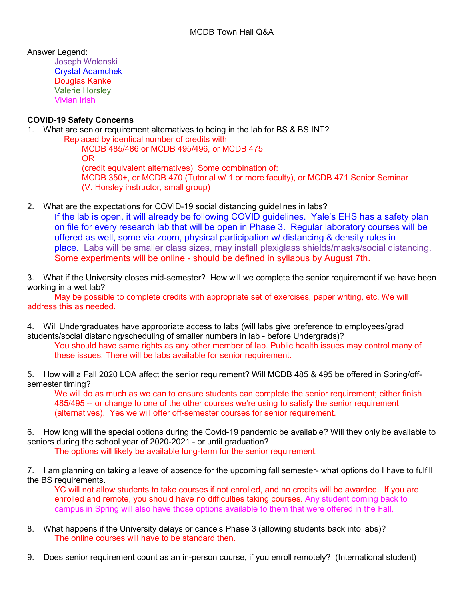Answer Legend:

Joseph Wolenski Crystal Adamchek Douglas Kankel Valerie Horsley Vivian Irish

# **COVID-19 Safety Concerns**

1. What are senior requirement alternatives to being in the lab for BS & BS INT?

 Replaced by identical number of credits with MCDB 485/486 or MCDB 495/496, or MCDB 475 OR (credit equivalent alternatives) Some combination of: MCDB 350+, or MCDB 470 (Tutorial w/ 1 or more faculty), or MCDB 471 Senior Seminar (V. Horsley instructor, small group)

2. What are the expectations for COVID-19 social distancing guidelines in labs?

If the lab is open, it will already be following COVID guidelines. Yale's EHS has a safety plan on file for every research lab that will be open in Phase 3. Regular laboratory courses will be offered as well, some via zoom, physical participation w/ distancing & density rules in place. Labs will be smaller class sizes, may install plexiglass shields/masks/social distancing. Some experiments will be online - should be defined in syllabus by August 7th.

3. What if the University closes mid-semester? How will we complete the senior requirement if we have been working in a wet lab?

May be possible to complete credits with appropriate set of exercises, paper writing, etc. We will address this as needed.

4. Will Undergraduates have appropriate access to labs (will labs give preference to employees/grad students/social distancing/scheduling of smaller numbers in lab - before Undergrads)?

You should have same rights as any other member of lab. Public health issues may control many of these issues. There will be labs available for senior requirement.

5. How will a Fall 2020 LOA affect the senior requirement? Will MCDB 485 & 495 be offered in Spring/offsemester timing?

We will do as much as we can to ensure students can complete the senior requirement; either finish 485/495 -- or change to one of the other courses we're using to satisfy the senior requirement (alternatives). Yes we will offer off-semester courses for senior requirement.

6. How long will the special options during the Covid-19 pandemic be available? Will they only be available to seniors during the school year of 2020-2021 - or until graduation? The options will likely be available long-term for the senior requirement.

7. I am planning on taking a leave of absence for the upcoming fall semester- what options do I have to fulfill the BS requirements.

YC will not allow students to take courses if not enrolled, and no credits will be awarded. If you are enrolled and remote, you should have no difficulties taking courses. Any student coming back to campus in Spring will also have those options available to them that were offered in the Fall.

- 8. What happens if the University delays or cancels Phase 3 (allowing students back into labs)? The online courses will have to be standard then.
- 9. Does senior requirement count as an in-person course, if you enroll remotely? (International student)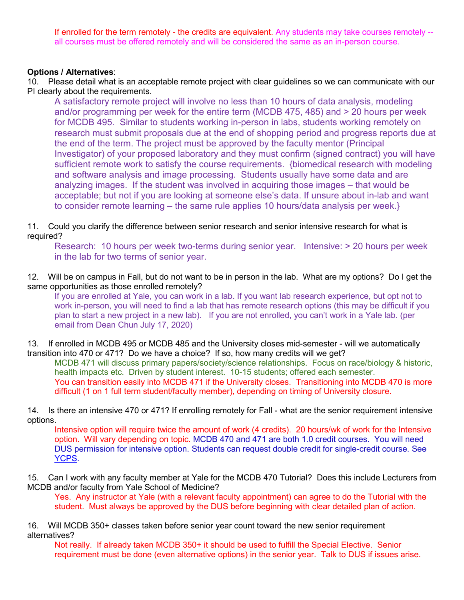If enrolled for the term remotely - the credits are equivalent. Any students may take courses remotely - all courses must be offered remotely and will be considered the same as an in-person course.

### **Options / Alternatives**:

10. Please detail what is an acceptable remote project with clear guidelines so we can communicate with our PI clearly about the requirements.

A satisfactory remote project will involve no less than 10 hours of data analysis, modeling and/or programming per week for the entire term (MCDB 475, 485) and > 20 hours per week for MCDB 495. Similar to students working in-person in labs, students working remotely on research must submit proposals due at the end of shopping period and progress reports due at the end of the term. The project must be approved by the faculty mentor (Principal Investigator) of your proposed laboratory and they must confirm (signed contract) you will have sufficient remote work to satisfy the course requirements. {biomedical research with modeling and software analysis and image processing. Students usually have some data and are analyzing images. If the student was involved in acquiring those images – that would be acceptable; but not if you are looking at someone else's data. If unsure about in-lab and want to consider remote learning – the same rule applies 10 hours/data analysis per week.}

11. Could you clarify the difference between senior research and senior intensive research for what is required?

Research: 10 hours per week two-terms during senior year. Intensive: > 20 hours per week in the lab for two terms of senior year.

12. Will be on campus in Fall, but do not want to be in person in the lab. What are my options? Do I get the same opportunities as those enrolled remotely?

If you are enrolled at Yale, you can work in a lab. If you want lab research experience, but opt not to work in-person, you will need to find a lab that has remote research options (this may be difficult if you plan to start a new project in a new lab). If you are not enrolled, you can't work in a Yale lab. (per email from Dean Chun July 17, 2020)

13. If enrolled in MCDB 495 or MCDB 485 and the University closes mid-semester - will we automatically transition into 470 or 471? Do we have a choice? If so, how many credits will we get?

MCDB 471 will discuss primary papers/society/science relationships. Focus on race/biology & historic, health impacts etc. Driven by student interest. 10-15 students; offered each semester. You can transition easily into MCDB 471 if the University closes. Transitioning into MCDB 470 is more difficult (1 on 1 full term student/faculty member), depending on timing of University closure.

14. Is there an intensive 470 or 471? If enrolling remotely for Fall - what are the senior requirement intensive options.

Intensive option will require twice the amount of work (4 credits). 20 hours/wk of work for the Intensive option. Will vary depending on topic. MCDB 470 and 471 are both 1.0 credit courses. You will need DUS permission for intensive option. Students can request double credit for single-credit course. See [YCPS.](http://catalog.yale.edu/dus/committee-honors-academic-standing/routine-matters/)

15. Can I work with any faculty member at Yale for the MCDB 470 Tutorial? Does this include Lecturers from MCDB and/or faculty from Yale School of Medicine?

Yes. Any instructor at Yale (with a relevant faculty appointment) can agree to do the Tutorial with the student. Must always be approved by the DUS before beginning with clear detailed plan of action.

16. Will MCDB 350+ classes taken before senior year count toward the new senior requirement alternatives?

Not really. If already taken MCDB 350+ it should be used to fulfill the Special Elective. Senior requirement must be done (even alternative options) in the senior year. Talk to DUS if issues arise.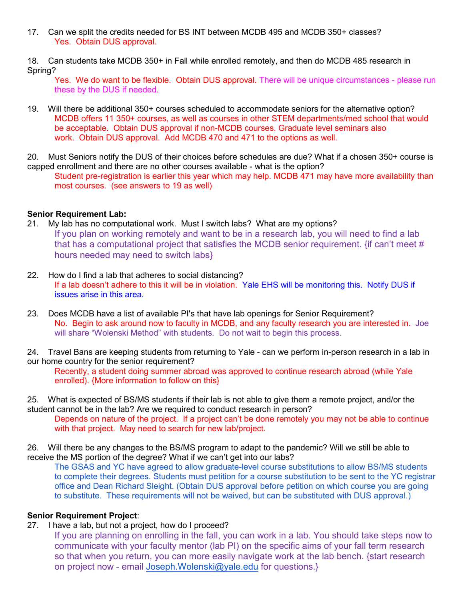17. Can we split the credits needed for BS INT between MCDB 495 and MCDB 350+ classes? Yes. Obtain DUS approval.

18. Can students take MCDB 350+ in Fall while enrolled remotely, and then do MCDB 485 research in Spring?

Yes. We do want to be flexible. Obtain DUS approval. There will be unique circumstances - please run these by the DUS if needed.

- 19. Will there be additional 350+ courses scheduled to accommodate seniors for the alternative option? MCDB offers 11 350+ courses, as well as courses in other STEM departments/med school that would be acceptable. Obtain DUS approval if non-MCDB courses. Graduate level seminars also work. Obtain DUS approval. Add MCDB 470 and 471 to the options as well.
- 20. Must Seniors notify the DUS of their choices before schedules are due? What if a chosen 350+ course is capped enrollment and there are no other courses available - what is the option?

Student pre-registration is earlier this year which may help. MCDB 471 may have more availability than most courses. (see answers to 19 as well)

## **Senior Requirement Lab:**

- 21. My lab has no computational work. Must I switch labs? What are my options? If you plan on working remotely and want to be in a research lab, you will need to find a lab that has a computational project that satisfies the MCDB senior requirement. {if can't meet # hours needed may need to switch labs}
- 22. How do I find a lab that adheres to social distancing? If a lab doesn't adhere to this it will be in violation. Yale EHS will be monitoring this. Notify DUS if issues arise in this area.
- 23. Does MCDB have a list of available PI's that have lab openings for Senior Requirement? No. Begin to ask around now to faculty in MCDB, and any faculty research you are interested in. Joe will share "Wolenski Method" with students. Do not wait to begin this process.

24. Travel Bans are keeping students from returning to Yale - can we perform in-person research in a lab in our home country for the senior requirement?

Recently, a student doing summer abroad was approved to continue research abroad (while Yale enrolled). {More information to follow on this}

25. What is expected of BS/MS students if their lab is not able to give them a remote project, and/or the student cannot be in the lab? Are we required to conduct research in person?

Depends on nature of the project. If a project can't be done remotely you may not be able to continue with that project. May need to search for new lab/project.

26. Will there be any changes to the BS/MS program to adapt to the pandemic? Will we still be able to receive the MS portion of the degree? What if we can't get into our labs?

The GSAS and YC have agreed to allow graduate-level course substitutions to allow BS/MS students to complete their degrees. Students must petition for a course substitution to be sent to the YC registrar office and Dean Richard Sleight. (Obtain DUS approval before petition on which course you are going to substitute. These requirements will not be waived, but can be substituted with DUS approval.)

#### **Senior Requirement Project**:

27. I have a lab, but not a project, how do I proceed?

If you are planning on enrolling in the fall, you can work in a lab. You should take steps now to communicate with your faculty mentor (lab PI) on the specific aims of your fall term research so that when you return, you can more easily navigate work at the lab bench. {start research on project now - email [Joseph.Wolenski@yale.edu](mailto:Joseph.Wolenski@yale.edu) for questions.}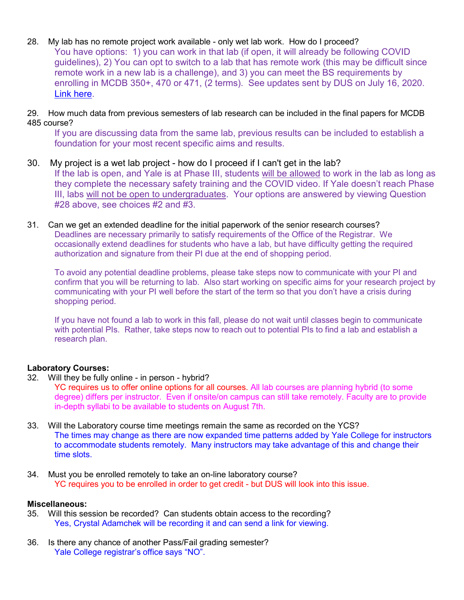- 28. My lab has no remote project work available only wet lab work. How do I proceed? You have options: 1) you can work in that lab (if open, it will already be following COVID guidelines), 2) You can opt to switch to a lab that has remote work (this may be difficult since remote work in a new lab is a challenge), and 3) you can meet the BS requirements by enrolling in MCDB 350+, 470 or 471, (2 terms). See updates sent by DUS on July 16, 2020. Link here.
- 29. How much data from previous semesters of lab research can be included in the final papers for MCDB 485 course?

If you are discussing data from the same lab, previous results can be included to establish a foundation for your most recent specific aims and results.

- 30. My project is a wet lab project how do I proceed if I can't get in the lab? If the lab is open, and Yale is at Phase III, students will be allowed to work in the lab as long as they complete the necessary safety training and the COVID video. If Yale doesn't reach Phase III, labs will not be open to undergraduates. Your options are answered by viewing Question #28 above, see choices #2 and #3.
- 31. Can we get an extended deadline for the initial paperwork of the senior research courses? Deadlines are necessary primarily to satisfy requirements of the Office of the Registrar. We occasionally extend deadlines for students who have a lab, but have difficulty getting the required authorization and signature from their PI due at the end of shopping period.

To avoid any potential deadline problems, please take steps now to communicate with your PI and confirm that you will be returning to lab. Also start working on specific aims for your research project by communicating with your PI well before the start of the term so that you don't have a crisis during shopping period.

If you have not found a lab to work in this fall, please do not wait until classes begin to communicate with potential PIs. Rather, take steps now to reach out to potential PIs to find a lab and establish a research plan.

# **Laboratory Courses:**

32. Will they be fully online - in person - hybrid?

YC requires us to offer online options for all courses. All lab courses are planning hybrid (to some degree) differs per instructor. Even if onsite/on campus can still take remotely. Faculty are to provide in-depth syllabi to be available to students on August 7th.

- 33. Will the Laboratory course time meetings remain the same as recorded on the YCS? The times may change as there are now expanded time patterns added by Yale College for instructors to accommodate students remotely. Many instructors may take advantage of this and change their time slots.
- 34. Must you be enrolled remotely to take an on-line laboratory course? YC requires you to be enrolled in order to get credit - but DUS will look into this issue.

## **Miscellaneous:**

- 35. Will this session be recorded? Can students obtain access to the recording? Yes, Crystal Adamchek will be recording it and can send a link for viewing.
- 36. Is there any chance of another Pass/Fail grading semester? Yale College registrar's office says "NO".